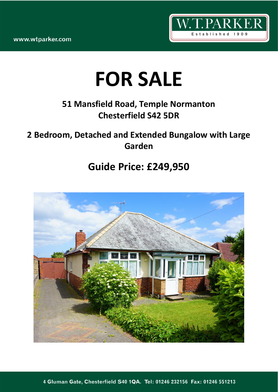www.wtparker.com



# **FOR SALE**

## **51 Mansfield Road, Temple Normanton Chesterfield S42 5DR**

### **2 Bedroom, Detached and Extended Bungalow with Large Garden**

## **Guide Price: £249,950**

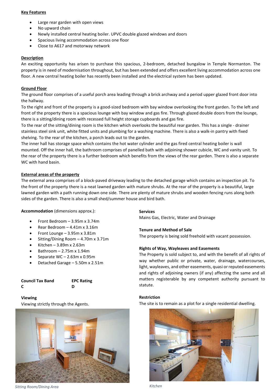#### **Key Features**

- Large rear garden with open views
- No upward chain
- Newly installed central heating boiler. UPVC double glazed windows and doors
- Spacious living accommodation across one floor
- Close to A617 and motorway network

#### **Description**

An exciting opportunity has arisen to purchase this spacious, 2-bedroom, detached bungalow in Temple Normanton. The property is in need of modernisation throughout, but has been extended and offers excellent living accommodation across one floor. A new central heating boiler has recently been installed and the electrical system has been updated.

#### **Ground Floor**

The ground floor comprises of a useful porch area leading through a brick archway and a period upper glazed front door into the hallway.

To the right and front of the property is a good-sized bedroom with bay window overlooking the front garden. To the left and front of the property there is a spacious lounge with bay window and gas fire. Through glazed double doors from the lounge, there is a sitting/dining room with recessed full height storage cupboards and gas fire.

To the rear of the sitting/dining room is the kitchen which overlooks the beautiful rear garden. This has a single - drainer stainless steel sink unit, white fitted units and plumbing for a washing machine. There is also a walk-in pantry with fixed shelving. To the rear of the kitchen, a porch leads out to the garden.

The inner hall has storage space which contains the hot water cylinder and the gas fired central heating boiler is wall mounted. Off the inner hall, the bathroom comprises of panelled bath with adjoining shower cubicle, WC and vanity unit. To the rear of the property there is a further bedroom which benefits from the views of the rear garden. There is also a separate WC with hand basin.

#### **External areas of the property**

The external area comprises of a block-paved driveway leading to the detached garage which contains an inspection pit. To the front of the property there is a neat lawned garden with mature shrubs. At the rear of the property is a beautiful, large lawned garden with a path running down one side. There are plenty of mature shrubs and wooden fencing runs along both sides of the garden. There is also a small shed/summer house and bird bath.

**Accommodation** (dimensions approx.):

- Front Bedroom  $-3.95$ m x 3.74m
- Rear Bedroom 4.41m x 3.16m
- Front Lounge 3.95m x 3.81m
- Sitting/Dining Room 4.70m x 3.71m
- Kitchen 3.89m x 2.63m
- Bathroom 2.75m x 1.94m
- Separate WC 2.63m x 0.95m
- Detached Garage 5.50m x 2.51m

| <b>Council Tax Band</b> | <b>EPC Rating</b> |
|-------------------------|-------------------|
| C                       | D                 |

#### **Viewing**

Viewing strictly through the Agents.



*Sitting Room/Dining Area Kitchen*

#### **Services**

Mains Gas, Electric, Water and Drainage

#### **Tenure and Method of Sale**

The property is being sold freehold with vacant possession.

#### **Rights of Way, Wayleaves and Easements**

The Property is sold subject to, and with the benefit of all rights of way whether public or private, water, drainage, watercourses, light, wayleaves, and other easements, quasi or reputed easements and rights of adjoining owners (if any) affecting the same and all matters registerable by any competent authority pursuant to statute.

#### **Restriction**

The site is to remain as a plot for a single residential dwelling.